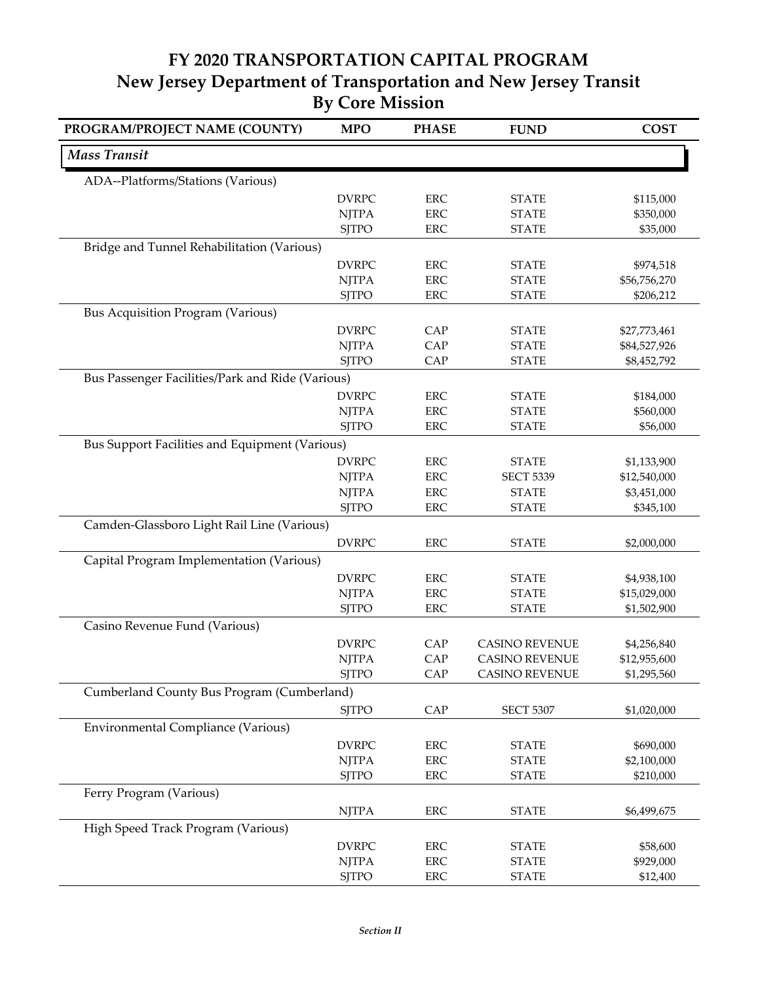## **FY 2020 TRANSPORTATION CAPITAL PROGRAM New Jersey Department of Transportation and New Jersey Transit By Core Mission**

| <b>Mass Transit</b><br>ADA--Platforms/Stations (Various)<br><b>DVRPC</b><br><b>ERC</b><br>\$115,000<br><b>STATE</b><br><b>NJTPA</b><br><b>ERC</b><br><b>STATE</b><br>\$350,000<br><b>ERC</b><br><b>SJTPO</b><br><b>STATE</b><br>\$35,000<br>Bridge and Tunnel Rehabilitation (Various)<br><b>DVRPC</b><br><b>ERC</b><br><b>STATE</b><br>\$974,518<br><b>NJTPA</b><br><b>ERC</b><br><b>STATE</b><br>\$56,756,270<br><b>SITPO</b><br><b>ERC</b><br><b>STATE</b><br>\$206,212<br><b>Bus Acquisition Program (Various)</b><br><b>DVRPC</b><br>CAP<br><b>STATE</b><br>\$27,773,461<br><b>NJTPA</b><br>CAP<br><b>STATE</b><br>\$84,527,926<br><b>SJTPO</b><br>CAP<br><b>STATE</b><br>\$8,452,792<br>Bus Passenger Facilities/Park and Ride (Various)<br><b>DVRPC</b><br><b>ERC</b><br><b>STATE</b><br>\$184,000<br><b>NJTPA</b><br><b>ERC</b><br><b>STATE</b><br>\$560,000<br><b>SJTPO</b><br><b>ERC</b><br><b>STATE</b><br>\$56,000<br>Bus Support Facilities and Equipment (Various)<br><b>DVRPC</b><br>ERC<br><b>STATE</b><br>\$1,133,900<br><b>ERC</b><br><b>NJTPA</b><br><b>SECT 5339</b><br>\$12,540,000<br><b>ERC</b><br><b>NJTPA</b><br><b>STATE</b><br>\$3,451,000<br><b>SJTPO</b><br><b>ERC</b><br><b>STATE</b><br>\$345,100<br>Camden-Glassboro Light Rail Line (Various)<br><b>DVRPC</b><br><b>ERC</b><br><b>STATE</b><br>\$2,000,000<br>Capital Program Implementation (Various)<br><b>ERC</b><br><b>DVRPC</b><br><b>STATE</b><br>\$4,938,100<br><b>NJTPA</b><br><b>ERC</b><br><b>STATE</b><br>\$15,029,000<br><b>SJTPO</b><br><b>ERC</b><br><b>STATE</b><br>\$1,502,900<br>Casino Revenue Fund (Various)<br><b>DVRPC</b><br>CAP<br><b>CASINO REVENUE</b><br>\$4,256,840<br>CAP<br><b>NJTPA</b><br><b>CASINO REVENUE</b><br>\$12,955,600<br><b>SJTPO</b><br>CAP<br><b>CASINO REVENUE</b><br>\$1,295,560<br>Cumberland County Bus Program (Cumberland)<br><b>SJTPO</b><br>CAP<br><b>SECT 5307</b><br>\$1,020,000<br>Environmental Compliance (Various)<br><b>DVRPC</b><br>ERC<br><b>STATE</b><br>\$690,000<br><b>ERC</b><br><b>NJTPA</b><br><b>STATE</b><br>\$2,100,000<br><b>SJTPO</b><br>ERC<br><b>STATE</b><br>\$210,000<br>Ferry Program (Various)<br><b>NJTPA</b><br>ERC<br><b>STATE</b><br>\$6,499,675<br>High Speed Track Program (Various)<br><b>DVRPC</b><br>ERC<br><b>STATE</b><br>\$58,600<br>ERC<br><b>NJTPA</b><br><b>STATE</b><br>\$929,000 | PROGRAM/PROJECT NAME (COUNTY) | <b>MPO</b>   | <b>PHASE</b> | <b>FUND</b>  | <b>COST</b> |
|-----------------------------------------------------------------------------------------------------------------------------------------------------------------------------------------------------------------------------------------------------------------------------------------------------------------------------------------------------------------------------------------------------------------------------------------------------------------------------------------------------------------------------------------------------------------------------------------------------------------------------------------------------------------------------------------------------------------------------------------------------------------------------------------------------------------------------------------------------------------------------------------------------------------------------------------------------------------------------------------------------------------------------------------------------------------------------------------------------------------------------------------------------------------------------------------------------------------------------------------------------------------------------------------------------------------------------------------------------------------------------------------------------------------------------------------------------------------------------------------------------------------------------------------------------------------------------------------------------------------------------------------------------------------------------------------------------------------------------------------------------------------------------------------------------------------------------------------------------------------------------------------------------------------------------------------------------------------------------------------------------------------------------------------------------------------------------------------------------------------------------------------------------------------------------------------------------------------------------------------------------------------------------------------------------------------------------------------------------------------|-------------------------------|--------------|--------------|--------------|-------------|
|                                                                                                                                                                                                                                                                                                                                                                                                                                                                                                                                                                                                                                                                                                                                                                                                                                                                                                                                                                                                                                                                                                                                                                                                                                                                                                                                                                                                                                                                                                                                                                                                                                                                                                                                                                                                                                                                                                                                                                                                                                                                                                                                                                                                                                                                                                                                                                 |                               |              |              |              |             |
|                                                                                                                                                                                                                                                                                                                                                                                                                                                                                                                                                                                                                                                                                                                                                                                                                                                                                                                                                                                                                                                                                                                                                                                                                                                                                                                                                                                                                                                                                                                                                                                                                                                                                                                                                                                                                                                                                                                                                                                                                                                                                                                                                                                                                                                                                                                                                                 |                               |              |              |              |             |
|                                                                                                                                                                                                                                                                                                                                                                                                                                                                                                                                                                                                                                                                                                                                                                                                                                                                                                                                                                                                                                                                                                                                                                                                                                                                                                                                                                                                                                                                                                                                                                                                                                                                                                                                                                                                                                                                                                                                                                                                                                                                                                                                                                                                                                                                                                                                                                 |                               |              |              |              |             |
|                                                                                                                                                                                                                                                                                                                                                                                                                                                                                                                                                                                                                                                                                                                                                                                                                                                                                                                                                                                                                                                                                                                                                                                                                                                                                                                                                                                                                                                                                                                                                                                                                                                                                                                                                                                                                                                                                                                                                                                                                                                                                                                                                                                                                                                                                                                                                                 |                               |              |              |              |             |
|                                                                                                                                                                                                                                                                                                                                                                                                                                                                                                                                                                                                                                                                                                                                                                                                                                                                                                                                                                                                                                                                                                                                                                                                                                                                                                                                                                                                                                                                                                                                                                                                                                                                                                                                                                                                                                                                                                                                                                                                                                                                                                                                                                                                                                                                                                                                                                 |                               |              |              |              |             |
|                                                                                                                                                                                                                                                                                                                                                                                                                                                                                                                                                                                                                                                                                                                                                                                                                                                                                                                                                                                                                                                                                                                                                                                                                                                                                                                                                                                                                                                                                                                                                                                                                                                                                                                                                                                                                                                                                                                                                                                                                                                                                                                                                                                                                                                                                                                                                                 |                               |              |              |              |             |
|                                                                                                                                                                                                                                                                                                                                                                                                                                                                                                                                                                                                                                                                                                                                                                                                                                                                                                                                                                                                                                                                                                                                                                                                                                                                                                                                                                                                                                                                                                                                                                                                                                                                                                                                                                                                                                                                                                                                                                                                                                                                                                                                                                                                                                                                                                                                                                 |                               |              |              |              |             |
|                                                                                                                                                                                                                                                                                                                                                                                                                                                                                                                                                                                                                                                                                                                                                                                                                                                                                                                                                                                                                                                                                                                                                                                                                                                                                                                                                                                                                                                                                                                                                                                                                                                                                                                                                                                                                                                                                                                                                                                                                                                                                                                                                                                                                                                                                                                                                                 |                               |              |              |              |             |
|                                                                                                                                                                                                                                                                                                                                                                                                                                                                                                                                                                                                                                                                                                                                                                                                                                                                                                                                                                                                                                                                                                                                                                                                                                                                                                                                                                                                                                                                                                                                                                                                                                                                                                                                                                                                                                                                                                                                                                                                                                                                                                                                                                                                                                                                                                                                                                 |                               |              |              |              |             |
|                                                                                                                                                                                                                                                                                                                                                                                                                                                                                                                                                                                                                                                                                                                                                                                                                                                                                                                                                                                                                                                                                                                                                                                                                                                                                                                                                                                                                                                                                                                                                                                                                                                                                                                                                                                                                                                                                                                                                                                                                                                                                                                                                                                                                                                                                                                                                                 |                               |              |              |              |             |
|                                                                                                                                                                                                                                                                                                                                                                                                                                                                                                                                                                                                                                                                                                                                                                                                                                                                                                                                                                                                                                                                                                                                                                                                                                                                                                                                                                                                                                                                                                                                                                                                                                                                                                                                                                                                                                                                                                                                                                                                                                                                                                                                                                                                                                                                                                                                                                 |                               |              |              |              |             |
|                                                                                                                                                                                                                                                                                                                                                                                                                                                                                                                                                                                                                                                                                                                                                                                                                                                                                                                                                                                                                                                                                                                                                                                                                                                                                                                                                                                                                                                                                                                                                                                                                                                                                                                                                                                                                                                                                                                                                                                                                                                                                                                                                                                                                                                                                                                                                                 |                               |              |              |              |             |
|                                                                                                                                                                                                                                                                                                                                                                                                                                                                                                                                                                                                                                                                                                                                                                                                                                                                                                                                                                                                                                                                                                                                                                                                                                                                                                                                                                                                                                                                                                                                                                                                                                                                                                                                                                                                                                                                                                                                                                                                                                                                                                                                                                                                                                                                                                                                                                 |                               |              |              |              |             |
|                                                                                                                                                                                                                                                                                                                                                                                                                                                                                                                                                                                                                                                                                                                                                                                                                                                                                                                                                                                                                                                                                                                                                                                                                                                                                                                                                                                                                                                                                                                                                                                                                                                                                                                                                                                                                                                                                                                                                                                                                                                                                                                                                                                                                                                                                                                                                                 |                               |              |              |              |             |
|                                                                                                                                                                                                                                                                                                                                                                                                                                                                                                                                                                                                                                                                                                                                                                                                                                                                                                                                                                                                                                                                                                                                                                                                                                                                                                                                                                                                                                                                                                                                                                                                                                                                                                                                                                                                                                                                                                                                                                                                                                                                                                                                                                                                                                                                                                                                                                 |                               |              |              |              |             |
|                                                                                                                                                                                                                                                                                                                                                                                                                                                                                                                                                                                                                                                                                                                                                                                                                                                                                                                                                                                                                                                                                                                                                                                                                                                                                                                                                                                                                                                                                                                                                                                                                                                                                                                                                                                                                                                                                                                                                                                                                                                                                                                                                                                                                                                                                                                                                                 |                               |              |              |              |             |
|                                                                                                                                                                                                                                                                                                                                                                                                                                                                                                                                                                                                                                                                                                                                                                                                                                                                                                                                                                                                                                                                                                                                                                                                                                                                                                                                                                                                                                                                                                                                                                                                                                                                                                                                                                                                                                                                                                                                                                                                                                                                                                                                                                                                                                                                                                                                                                 |                               |              |              |              |             |
|                                                                                                                                                                                                                                                                                                                                                                                                                                                                                                                                                                                                                                                                                                                                                                                                                                                                                                                                                                                                                                                                                                                                                                                                                                                                                                                                                                                                                                                                                                                                                                                                                                                                                                                                                                                                                                                                                                                                                                                                                                                                                                                                                                                                                                                                                                                                                                 |                               |              |              |              |             |
|                                                                                                                                                                                                                                                                                                                                                                                                                                                                                                                                                                                                                                                                                                                                                                                                                                                                                                                                                                                                                                                                                                                                                                                                                                                                                                                                                                                                                                                                                                                                                                                                                                                                                                                                                                                                                                                                                                                                                                                                                                                                                                                                                                                                                                                                                                                                                                 |                               |              |              |              |             |
|                                                                                                                                                                                                                                                                                                                                                                                                                                                                                                                                                                                                                                                                                                                                                                                                                                                                                                                                                                                                                                                                                                                                                                                                                                                                                                                                                                                                                                                                                                                                                                                                                                                                                                                                                                                                                                                                                                                                                                                                                                                                                                                                                                                                                                                                                                                                                                 |                               |              |              |              |             |
|                                                                                                                                                                                                                                                                                                                                                                                                                                                                                                                                                                                                                                                                                                                                                                                                                                                                                                                                                                                                                                                                                                                                                                                                                                                                                                                                                                                                                                                                                                                                                                                                                                                                                                                                                                                                                                                                                                                                                                                                                                                                                                                                                                                                                                                                                                                                                                 |                               |              |              |              |             |
|                                                                                                                                                                                                                                                                                                                                                                                                                                                                                                                                                                                                                                                                                                                                                                                                                                                                                                                                                                                                                                                                                                                                                                                                                                                                                                                                                                                                                                                                                                                                                                                                                                                                                                                                                                                                                                                                                                                                                                                                                                                                                                                                                                                                                                                                                                                                                                 |                               |              |              |              |             |
|                                                                                                                                                                                                                                                                                                                                                                                                                                                                                                                                                                                                                                                                                                                                                                                                                                                                                                                                                                                                                                                                                                                                                                                                                                                                                                                                                                                                                                                                                                                                                                                                                                                                                                                                                                                                                                                                                                                                                                                                                                                                                                                                                                                                                                                                                                                                                                 |                               |              |              |              |             |
|                                                                                                                                                                                                                                                                                                                                                                                                                                                                                                                                                                                                                                                                                                                                                                                                                                                                                                                                                                                                                                                                                                                                                                                                                                                                                                                                                                                                                                                                                                                                                                                                                                                                                                                                                                                                                                                                                                                                                                                                                                                                                                                                                                                                                                                                                                                                                                 |                               |              |              |              |             |
|                                                                                                                                                                                                                                                                                                                                                                                                                                                                                                                                                                                                                                                                                                                                                                                                                                                                                                                                                                                                                                                                                                                                                                                                                                                                                                                                                                                                                                                                                                                                                                                                                                                                                                                                                                                                                                                                                                                                                                                                                                                                                                                                                                                                                                                                                                                                                                 |                               |              |              |              |             |
|                                                                                                                                                                                                                                                                                                                                                                                                                                                                                                                                                                                                                                                                                                                                                                                                                                                                                                                                                                                                                                                                                                                                                                                                                                                                                                                                                                                                                                                                                                                                                                                                                                                                                                                                                                                                                                                                                                                                                                                                                                                                                                                                                                                                                                                                                                                                                                 |                               |              |              |              |             |
|                                                                                                                                                                                                                                                                                                                                                                                                                                                                                                                                                                                                                                                                                                                                                                                                                                                                                                                                                                                                                                                                                                                                                                                                                                                                                                                                                                                                                                                                                                                                                                                                                                                                                                                                                                                                                                                                                                                                                                                                                                                                                                                                                                                                                                                                                                                                                                 |                               |              |              |              |             |
|                                                                                                                                                                                                                                                                                                                                                                                                                                                                                                                                                                                                                                                                                                                                                                                                                                                                                                                                                                                                                                                                                                                                                                                                                                                                                                                                                                                                                                                                                                                                                                                                                                                                                                                                                                                                                                                                                                                                                                                                                                                                                                                                                                                                                                                                                                                                                                 |                               |              |              |              |             |
|                                                                                                                                                                                                                                                                                                                                                                                                                                                                                                                                                                                                                                                                                                                                                                                                                                                                                                                                                                                                                                                                                                                                                                                                                                                                                                                                                                                                                                                                                                                                                                                                                                                                                                                                                                                                                                                                                                                                                                                                                                                                                                                                                                                                                                                                                                                                                                 |                               |              |              |              |             |
|                                                                                                                                                                                                                                                                                                                                                                                                                                                                                                                                                                                                                                                                                                                                                                                                                                                                                                                                                                                                                                                                                                                                                                                                                                                                                                                                                                                                                                                                                                                                                                                                                                                                                                                                                                                                                                                                                                                                                                                                                                                                                                                                                                                                                                                                                                                                                                 |                               |              |              |              |             |
|                                                                                                                                                                                                                                                                                                                                                                                                                                                                                                                                                                                                                                                                                                                                                                                                                                                                                                                                                                                                                                                                                                                                                                                                                                                                                                                                                                                                                                                                                                                                                                                                                                                                                                                                                                                                                                                                                                                                                                                                                                                                                                                                                                                                                                                                                                                                                                 |                               |              |              |              |             |
|                                                                                                                                                                                                                                                                                                                                                                                                                                                                                                                                                                                                                                                                                                                                                                                                                                                                                                                                                                                                                                                                                                                                                                                                                                                                                                                                                                                                                                                                                                                                                                                                                                                                                                                                                                                                                                                                                                                                                                                                                                                                                                                                                                                                                                                                                                                                                                 |                               |              |              |              |             |
|                                                                                                                                                                                                                                                                                                                                                                                                                                                                                                                                                                                                                                                                                                                                                                                                                                                                                                                                                                                                                                                                                                                                                                                                                                                                                                                                                                                                                                                                                                                                                                                                                                                                                                                                                                                                                                                                                                                                                                                                                                                                                                                                                                                                                                                                                                                                                                 |                               |              |              |              |             |
|                                                                                                                                                                                                                                                                                                                                                                                                                                                                                                                                                                                                                                                                                                                                                                                                                                                                                                                                                                                                                                                                                                                                                                                                                                                                                                                                                                                                                                                                                                                                                                                                                                                                                                                                                                                                                                                                                                                                                                                                                                                                                                                                                                                                                                                                                                                                                                 |                               |              |              |              |             |
|                                                                                                                                                                                                                                                                                                                                                                                                                                                                                                                                                                                                                                                                                                                                                                                                                                                                                                                                                                                                                                                                                                                                                                                                                                                                                                                                                                                                                                                                                                                                                                                                                                                                                                                                                                                                                                                                                                                                                                                                                                                                                                                                                                                                                                                                                                                                                                 |                               |              |              |              |             |
|                                                                                                                                                                                                                                                                                                                                                                                                                                                                                                                                                                                                                                                                                                                                                                                                                                                                                                                                                                                                                                                                                                                                                                                                                                                                                                                                                                                                                                                                                                                                                                                                                                                                                                                                                                                                                                                                                                                                                                                                                                                                                                                                                                                                                                                                                                                                                                 |                               |              |              |              |             |
|                                                                                                                                                                                                                                                                                                                                                                                                                                                                                                                                                                                                                                                                                                                                                                                                                                                                                                                                                                                                                                                                                                                                                                                                                                                                                                                                                                                                                                                                                                                                                                                                                                                                                                                                                                                                                                                                                                                                                                                                                                                                                                                                                                                                                                                                                                                                                                 |                               |              |              |              |             |
|                                                                                                                                                                                                                                                                                                                                                                                                                                                                                                                                                                                                                                                                                                                                                                                                                                                                                                                                                                                                                                                                                                                                                                                                                                                                                                                                                                                                                                                                                                                                                                                                                                                                                                                                                                                                                                                                                                                                                                                                                                                                                                                                                                                                                                                                                                                                                                 |                               |              |              |              |             |
|                                                                                                                                                                                                                                                                                                                                                                                                                                                                                                                                                                                                                                                                                                                                                                                                                                                                                                                                                                                                                                                                                                                                                                                                                                                                                                                                                                                                                                                                                                                                                                                                                                                                                                                                                                                                                                                                                                                                                                                                                                                                                                                                                                                                                                                                                                                                                                 |                               |              |              |              |             |
|                                                                                                                                                                                                                                                                                                                                                                                                                                                                                                                                                                                                                                                                                                                                                                                                                                                                                                                                                                                                                                                                                                                                                                                                                                                                                                                                                                                                                                                                                                                                                                                                                                                                                                                                                                                                                                                                                                                                                                                                                                                                                                                                                                                                                                                                                                                                                                 |                               |              |              |              |             |
|                                                                                                                                                                                                                                                                                                                                                                                                                                                                                                                                                                                                                                                                                                                                                                                                                                                                                                                                                                                                                                                                                                                                                                                                                                                                                                                                                                                                                                                                                                                                                                                                                                                                                                                                                                                                                                                                                                                                                                                                                                                                                                                                                                                                                                                                                                                                                                 |                               |              |              |              |             |
|                                                                                                                                                                                                                                                                                                                                                                                                                                                                                                                                                                                                                                                                                                                                                                                                                                                                                                                                                                                                                                                                                                                                                                                                                                                                                                                                                                                                                                                                                                                                                                                                                                                                                                                                                                                                                                                                                                                                                                                                                                                                                                                                                                                                                                                                                                                                                                 |                               |              |              |              |             |
|                                                                                                                                                                                                                                                                                                                                                                                                                                                                                                                                                                                                                                                                                                                                                                                                                                                                                                                                                                                                                                                                                                                                                                                                                                                                                                                                                                                                                                                                                                                                                                                                                                                                                                                                                                                                                                                                                                                                                                                                                                                                                                                                                                                                                                                                                                                                                                 |                               |              |              |              |             |
|                                                                                                                                                                                                                                                                                                                                                                                                                                                                                                                                                                                                                                                                                                                                                                                                                                                                                                                                                                                                                                                                                                                                                                                                                                                                                                                                                                                                                                                                                                                                                                                                                                                                                                                                                                                                                                                                                                                                                                                                                                                                                                                                                                                                                                                                                                                                                                 |                               | <b>SJTPO</b> | ERC          | <b>STATE</b> | \$12,400    |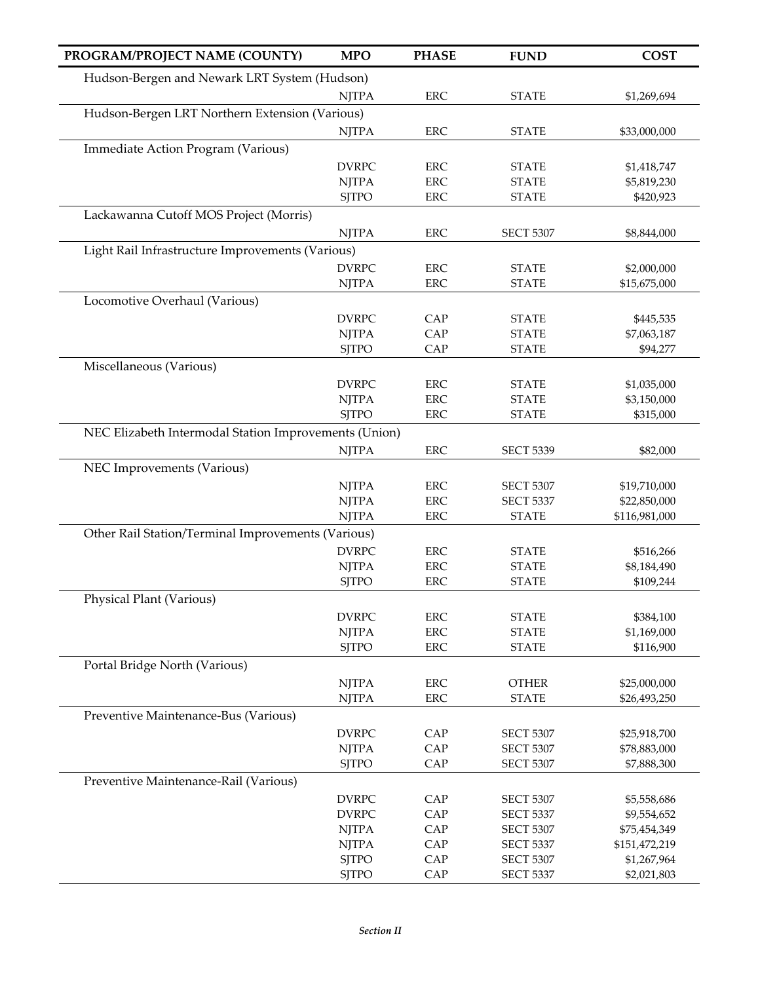| PROGRAM/PROJECT NAME (COUNTY)                         | <b>MPO</b>                   | <b>PHASE</b>              | <b>FUND</b>                          | <b>COST</b>                  |
|-------------------------------------------------------|------------------------------|---------------------------|--------------------------------------|------------------------------|
| Hudson-Bergen and Newark LRT System (Hudson)          |                              |                           |                                      |                              |
|                                                       | <b>NJTPA</b>                 | ERC                       | <b>STATE</b>                         | \$1,269,694                  |
| Hudson-Bergen LRT Northern Extension (Various)        |                              |                           |                                      |                              |
|                                                       | <b>NJTPA</b>                 | <b>ERC</b>                | <b>STATE</b>                         | \$33,000,000                 |
| Immediate Action Program (Various)                    |                              |                           |                                      |                              |
|                                                       | <b>DVRPC</b>                 | <b>ERC</b>                | <b>STATE</b>                         | \$1,418,747                  |
|                                                       | <b>NJTPA</b>                 | <b>ERC</b>                | <b>STATE</b>                         | \$5,819,230                  |
|                                                       | <b>SITPO</b>                 | ERC                       | <b>STATE</b>                         | \$420,923                    |
| Lackawanna Cutoff MOS Project (Morris)                |                              |                           |                                      |                              |
|                                                       | <b>NJTPA</b>                 | <b>ERC</b>                | <b>SECT 5307</b>                     | \$8,844,000                  |
| Light Rail Infrastructure Improvements (Various)      |                              |                           |                                      |                              |
|                                                       | <b>DVRPC</b>                 | <b>ERC</b>                | <b>STATE</b>                         | \$2,000,000                  |
|                                                       | <b>NJTPA</b>                 | <b>ERC</b>                | <b>STATE</b>                         | \$15,675,000                 |
| Locomotive Overhaul (Various)                         |                              |                           |                                      |                              |
|                                                       | <b>DVRPC</b>                 | CAP                       | <b>STATE</b>                         | \$445,535                    |
|                                                       | <b>NJTPA</b>                 | CAP                       | <b>STATE</b>                         | \$7,063,187                  |
|                                                       | <b>SJTPO</b>                 | CAP                       | <b>STATE</b>                         | \$94,277                     |
| Miscellaneous (Various)                               |                              |                           |                                      |                              |
|                                                       | <b>DVRPC</b>                 | <b>ERC</b>                | <b>STATE</b>                         | \$1,035,000                  |
|                                                       | <b>NJTPA</b>                 | <b>ERC</b>                | <b>STATE</b>                         | \$3,150,000                  |
|                                                       | <b>SJTPO</b>                 | <b>ERC</b>                | <b>STATE</b>                         | \$315,000                    |
| NEC Elizabeth Intermodal Station Improvements (Union) |                              |                           |                                      |                              |
|                                                       | <b>NJTPA</b>                 | <b>ERC</b>                | <b>SECT 5339</b>                     | \$82,000                     |
| NEC Improvements (Various)                            |                              |                           |                                      |                              |
|                                                       | <b>NJTPA</b>                 | <b>ERC</b>                | <b>SECT 5307</b>                     | \$19,710,000                 |
|                                                       | <b>NJTPA</b>                 | <b>ERC</b>                | <b>SECT 5337</b>                     | \$22,850,000                 |
|                                                       | <b>NJTPA</b>                 | <b>ERC</b>                | <b>STATE</b>                         | \$116,981,000                |
| Other Rail Station/Terminal Improvements (Various)    |                              |                           |                                      |                              |
|                                                       | <b>DVRPC</b>                 | ERC                       | <b>STATE</b>                         | \$516,266                    |
|                                                       | <b>NJTPA</b>                 | <b>ERC</b>                | <b>STATE</b>                         | \$8,184,490                  |
|                                                       | <b>SJTPO</b>                 | <b>ERC</b>                | <b>STATE</b>                         | \$109,244                    |
| Physical Plant (Various)                              |                              |                           |                                      |                              |
|                                                       | <b>DVRPC</b>                 | ERC                       | <b>STATE</b>                         | \$384,100                    |
|                                                       | <b>NJTPA</b>                 | <b>ERC</b>                | <b>STATE</b>                         | \$1,169,000                  |
|                                                       | <b>SJTPO</b>                 | ERC                       | <b>STATE</b>                         | \$116,900                    |
| Portal Bridge North (Various)                         |                              |                           |                                      |                              |
|                                                       | <b>NJTPA</b><br><b>NJTPA</b> | ${\rm ERC}$<br><b>ERC</b> | <b>OTHER</b><br><b>STATE</b>         | \$25,000,000                 |
|                                                       |                              |                           |                                      | \$26,493,250                 |
| Preventive Maintenance-Bus (Various)                  |                              |                           |                                      |                              |
|                                                       | <b>DVRPC</b><br><b>NJTPA</b> | CAP<br>CAP                | <b>SECT 5307</b><br><b>SECT 5307</b> | \$25,918,700<br>\$78,883,000 |
|                                                       | <b>SJTPO</b>                 | CAP                       | <b>SECT 5307</b>                     | \$7,888,300                  |
| Preventive Maintenance-Rail (Various)                 |                              |                           |                                      |                              |
|                                                       | <b>DVRPC</b>                 | CAP                       | <b>SECT 5307</b>                     | \$5,558,686                  |
|                                                       | <b>DVRPC</b>                 | CAP                       | <b>SECT 5337</b>                     | \$9,554,652                  |
|                                                       | <b>NJTPA</b>                 | CAP                       | <b>SECT 5307</b>                     | \$75,454,349                 |
|                                                       | <b>NJTPA</b>                 | CAP                       | <b>SECT 5337</b>                     | \$151,472,219                |
|                                                       | <b>SJTPO</b>                 | CAP                       | <b>SECT 5307</b>                     | \$1,267,964                  |
|                                                       | <b>SJTPO</b>                 | ${\rm CAP}$               | <b>SECT 5337</b>                     | \$2,021,803                  |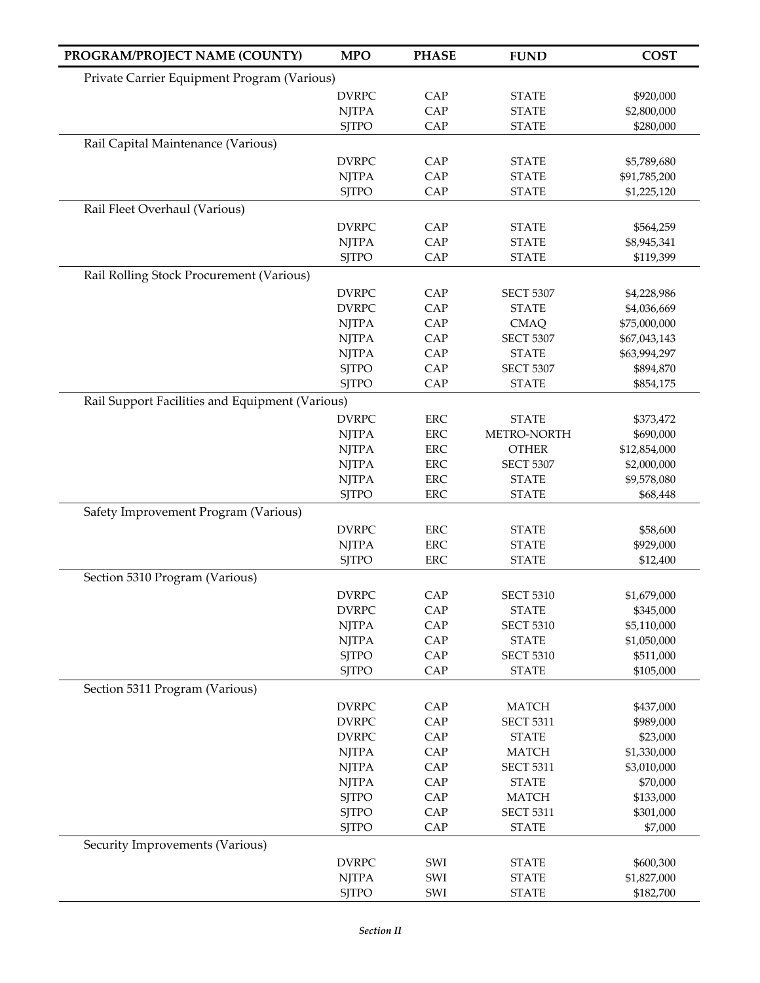| Private Carrier Equipment Program (Various)<br><b>DVRPC</b><br>CAP<br><b>STATE</b><br>\$920,000<br>CAP<br><b>NJTPA</b><br><b>STATE</b><br>\$2,800,000<br>CAP<br><b>SJTPO</b><br><b>STATE</b><br>\$280,000<br>Rail Capital Maintenance (Various)<br><b>DVRPC</b><br><b>STATE</b><br>CAP<br>\$5,789,680<br><b>NJTPA</b><br>CAP<br><b>STATE</b><br>\$91,785,200<br>CAP<br><b>SJTPO</b><br><b>STATE</b><br>\$1,225,120<br>Rail Fleet Overhaul (Various)<br><b>DVRPC</b><br>CAP<br><b>STATE</b><br>\$564,259<br>CAP<br><b>NJTPA</b><br><b>STATE</b><br>\$8,945,341<br><b>SJTPO</b><br>CAP<br><b>STATE</b><br>\$119,399<br>Rail Rolling Stock Procurement (Various)<br><b>DVRPC</b><br>CAP<br><b>SECT 5307</b><br>\$4,228,986<br>CAP<br><b>DVRPC</b><br><b>STATE</b><br>\$4,036,669<br>CAP<br><b>NJTPA</b><br><b>CMAQ</b><br>\$75,000,000<br>CAP<br><b>NJTPA</b><br><b>SECT 5307</b><br>\$67,043,143<br><b>NJTPA</b><br>CAP<br><b>STATE</b><br>\$63,994,297<br><b>SJTPO</b><br>CAP<br><b>SECT 5307</b><br>\$894,870<br><b>SJTPO</b><br>CAP<br><b>STATE</b><br>\$854,175<br>Rail Support Facilities and Equipment (Various)<br><b>DVRPC</b><br>${\rm ERC}$<br><b>STATE</b><br>\$373,472<br><b>ERC</b><br>METRO-NORTH<br><b>NJTPA</b><br>\$690,000<br><b>ERC</b><br><b>NJTPA</b><br><b>OTHER</b><br>\$12,854,000<br>ERC<br><b>NJTPA</b><br><b>SECT 5307</b><br>\$2,000,000<br><b>ERC</b><br><b>NJTPA</b><br><b>STATE</b><br>\$9,578,080<br><b>ERC</b><br><b>STATE</b><br><b>SJTPO</b><br>\$68,448<br>Safety Improvement Program (Various)<br><b>DVRPC</b><br><b>ERC</b><br><b>STATE</b><br>\$58,600<br><b>NJTPA</b><br>ERC<br><b>STATE</b><br>\$929,000<br><b>SJTPO</b><br><b>ERC</b><br><b>STATE</b><br>\$12,400<br>Section 5310 Program (Various)<br>CAP<br><b>DVRPC</b><br><b>SECT 5310</b><br>\$1,679,000<br><b>DVRPC</b><br>CAP<br><b>STATE</b><br>\$345,000<br><b>NJTPA</b><br>CAP<br><b>SECT 5310</b><br>\$5,110,000<br><b>NJTPA</b><br>CAP<br><b>STATE</b><br>\$1,050,000<br><b>SJTPO</b><br>CAP<br><b>SECT 5310</b><br>\$511,000<br>CAP<br><b>SJTPO</b><br><b>STATE</b><br>\$105,000<br>Section 5311 Program (Various)<br><b>DVRPC</b><br>CAP<br><b>MATCH</b><br>\$437,000<br>CAP<br><b>DVRPC</b><br><b>SECT 5311</b><br>\$989,000<br>CAP<br><b>DVRPC</b><br><b>STATE</b><br>\$23,000<br>CAP<br><b>NJTPA</b><br><b>MATCH</b><br>\$1,330,000<br>CAP<br><b>NJTPA</b><br><b>SECT 5311</b><br>\$3,010,000<br><b>NJTPA</b><br>CAP<br><b>STATE</b><br>\$70,000<br><b>SJTPO</b><br>CAP<br><b>MATCH</b><br>\$133,000<br><b>SJTPO</b><br>CAP<br><b>SECT 5311</b><br>\$301,000<br>CAP<br><b>SJTPO</b><br><b>STATE</b><br>\$7,000<br>Security Improvements (Various)<br><b>DVRPC</b><br>SWI<br>\$600,300<br><b>STATE</b><br>SWI<br><b>NJTPA</b><br><b>STATE</b><br>\$1,827,000<br><b>SJTPO</b><br>SWI<br><b>STATE</b><br>\$182,700 | PROGRAM/PROJECT NAME (COUNTY) | <b>MPO</b> | <b>PHASE</b> | <b>FUND</b> | <b>COST</b> |
|--------------------------------------------------------------------------------------------------------------------------------------------------------------------------------------------------------------------------------------------------------------------------------------------------------------------------------------------------------------------------------------------------------------------------------------------------------------------------------------------------------------------------------------------------------------------------------------------------------------------------------------------------------------------------------------------------------------------------------------------------------------------------------------------------------------------------------------------------------------------------------------------------------------------------------------------------------------------------------------------------------------------------------------------------------------------------------------------------------------------------------------------------------------------------------------------------------------------------------------------------------------------------------------------------------------------------------------------------------------------------------------------------------------------------------------------------------------------------------------------------------------------------------------------------------------------------------------------------------------------------------------------------------------------------------------------------------------------------------------------------------------------------------------------------------------------------------------------------------------------------------------------------------------------------------------------------------------------------------------------------------------------------------------------------------------------------------------------------------------------------------------------------------------------------------------------------------------------------------------------------------------------------------------------------------------------------------------------------------------------------------------------------------------------------------------------------------------------------------------------------------------------------------------------------------------------------------------------------------------------------------------------------------------------------------------------------------------------------------------------------------------------------------------------------------------------------|-------------------------------|------------|--------------|-------------|-------------|
|                                                                                                                                                                                                                                                                                                                                                                                                                                                                                                                                                                                                                                                                                                                                                                                                                                                                                                                                                                                                                                                                                                                                                                                                                                                                                                                                                                                                                                                                                                                                                                                                                                                                                                                                                                                                                                                                                                                                                                                                                                                                                                                                                                                                                                                                                                                                                                                                                                                                                                                                                                                                                                                                                                                                                                                                                          |                               |            |              |             |             |
|                                                                                                                                                                                                                                                                                                                                                                                                                                                                                                                                                                                                                                                                                                                                                                                                                                                                                                                                                                                                                                                                                                                                                                                                                                                                                                                                                                                                                                                                                                                                                                                                                                                                                                                                                                                                                                                                                                                                                                                                                                                                                                                                                                                                                                                                                                                                                                                                                                                                                                                                                                                                                                                                                                                                                                                                                          |                               |            |              |             |             |
|                                                                                                                                                                                                                                                                                                                                                                                                                                                                                                                                                                                                                                                                                                                                                                                                                                                                                                                                                                                                                                                                                                                                                                                                                                                                                                                                                                                                                                                                                                                                                                                                                                                                                                                                                                                                                                                                                                                                                                                                                                                                                                                                                                                                                                                                                                                                                                                                                                                                                                                                                                                                                                                                                                                                                                                                                          |                               |            |              |             |             |
|                                                                                                                                                                                                                                                                                                                                                                                                                                                                                                                                                                                                                                                                                                                                                                                                                                                                                                                                                                                                                                                                                                                                                                                                                                                                                                                                                                                                                                                                                                                                                                                                                                                                                                                                                                                                                                                                                                                                                                                                                                                                                                                                                                                                                                                                                                                                                                                                                                                                                                                                                                                                                                                                                                                                                                                                                          |                               |            |              |             |             |
|                                                                                                                                                                                                                                                                                                                                                                                                                                                                                                                                                                                                                                                                                                                                                                                                                                                                                                                                                                                                                                                                                                                                                                                                                                                                                                                                                                                                                                                                                                                                                                                                                                                                                                                                                                                                                                                                                                                                                                                                                                                                                                                                                                                                                                                                                                                                                                                                                                                                                                                                                                                                                                                                                                                                                                                                                          |                               |            |              |             |             |
|                                                                                                                                                                                                                                                                                                                                                                                                                                                                                                                                                                                                                                                                                                                                                                                                                                                                                                                                                                                                                                                                                                                                                                                                                                                                                                                                                                                                                                                                                                                                                                                                                                                                                                                                                                                                                                                                                                                                                                                                                                                                                                                                                                                                                                                                                                                                                                                                                                                                                                                                                                                                                                                                                                                                                                                                                          |                               |            |              |             |             |
|                                                                                                                                                                                                                                                                                                                                                                                                                                                                                                                                                                                                                                                                                                                                                                                                                                                                                                                                                                                                                                                                                                                                                                                                                                                                                                                                                                                                                                                                                                                                                                                                                                                                                                                                                                                                                                                                                                                                                                                                                                                                                                                                                                                                                                                                                                                                                                                                                                                                                                                                                                                                                                                                                                                                                                                                                          |                               |            |              |             |             |
|                                                                                                                                                                                                                                                                                                                                                                                                                                                                                                                                                                                                                                                                                                                                                                                                                                                                                                                                                                                                                                                                                                                                                                                                                                                                                                                                                                                                                                                                                                                                                                                                                                                                                                                                                                                                                                                                                                                                                                                                                                                                                                                                                                                                                                                                                                                                                                                                                                                                                                                                                                                                                                                                                                                                                                                                                          |                               |            |              |             |             |
|                                                                                                                                                                                                                                                                                                                                                                                                                                                                                                                                                                                                                                                                                                                                                                                                                                                                                                                                                                                                                                                                                                                                                                                                                                                                                                                                                                                                                                                                                                                                                                                                                                                                                                                                                                                                                                                                                                                                                                                                                                                                                                                                                                                                                                                                                                                                                                                                                                                                                                                                                                                                                                                                                                                                                                                                                          |                               |            |              |             |             |
|                                                                                                                                                                                                                                                                                                                                                                                                                                                                                                                                                                                                                                                                                                                                                                                                                                                                                                                                                                                                                                                                                                                                                                                                                                                                                                                                                                                                                                                                                                                                                                                                                                                                                                                                                                                                                                                                                                                                                                                                                                                                                                                                                                                                                                                                                                                                                                                                                                                                                                                                                                                                                                                                                                                                                                                                                          |                               |            |              |             |             |
|                                                                                                                                                                                                                                                                                                                                                                                                                                                                                                                                                                                                                                                                                                                                                                                                                                                                                                                                                                                                                                                                                                                                                                                                                                                                                                                                                                                                                                                                                                                                                                                                                                                                                                                                                                                                                                                                                                                                                                                                                                                                                                                                                                                                                                                                                                                                                                                                                                                                                                                                                                                                                                                                                                                                                                                                                          |                               |            |              |             |             |
|                                                                                                                                                                                                                                                                                                                                                                                                                                                                                                                                                                                                                                                                                                                                                                                                                                                                                                                                                                                                                                                                                                                                                                                                                                                                                                                                                                                                                                                                                                                                                                                                                                                                                                                                                                                                                                                                                                                                                                                                                                                                                                                                                                                                                                                                                                                                                                                                                                                                                                                                                                                                                                                                                                                                                                                                                          |                               |            |              |             |             |
|                                                                                                                                                                                                                                                                                                                                                                                                                                                                                                                                                                                                                                                                                                                                                                                                                                                                                                                                                                                                                                                                                                                                                                                                                                                                                                                                                                                                                                                                                                                                                                                                                                                                                                                                                                                                                                                                                                                                                                                                                                                                                                                                                                                                                                                                                                                                                                                                                                                                                                                                                                                                                                                                                                                                                                                                                          |                               |            |              |             |             |
|                                                                                                                                                                                                                                                                                                                                                                                                                                                                                                                                                                                                                                                                                                                                                                                                                                                                                                                                                                                                                                                                                                                                                                                                                                                                                                                                                                                                                                                                                                                                                                                                                                                                                                                                                                                                                                                                                                                                                                                                                                                                                                                                                                                                                                                                                                                                                                                                                                                                                                                                                                                                                                                                                                                                                                                                                          |                               |            |              |             |             |
|                                                                                                                                                                                                                                                                                                                                                                                                                                                                                                                                                                                                                                                                                                                                                                                                                                                                                                                                                                                                                                                                                                                                                                                                                                                                                                                                                                                                                                                                                                                                                                                                                                                                                                                                                                                                                                                                                                                                                                                                                                                                                                                                                                                                                                                                                                                                                                                                                                                                                                                                                                                                                                                                                                                                                                                                                          |                               |            |              |             |             |
|                                                                                                                                                                                                                                                                                                                                                                                                                                                                                                                                                                                                                                                                                                                                                                                                                                                                                                                                                                                                                                                                                                                                                                                                                                                                                                                                                                                                                                                                                                                                                                                                                                                                                                                                                                                                                                                                                                                                                                                                                                                                                                                                                                                                                                                                                                                                                                                                                                                                                                                                                                                                                                                                                                                                                                                                                          |                               |            |              |             |             |
|                                                                                                                                                                                                                                                                                                                                                                                                                                                                                                                                                                                                                                                                                                                                                                                                                                                                                                                                                                                                                                                                                                                                                                                                                                                                                                                                                                                                                                                                                                                                                                                                                                                                                                                                                                                                                                                                                                                                                                                                                                                                                                                                                                                                                                                                                                                                                                                                                                                                                                                                                                                                                                                                                                                                                                                                                          |                               |            |              |             |             |
|                                                                                                                                                                                                                                                                                                                                                                                                                                                                                                                                                                                                                                                                                                                                                                                                                                                                                                                                                                                                                                                                                                                                                                                                                                                                                                                                                                                                                                                                                                                                                                                                                                                                                                                                                                                                                                                                                                                                                                                                                                                                                                                                                                                                                                                                                                                                                                                                                                                                                                                                                                                                                                                                                                                                                                                                                          |                               |            |              |             |             |
|                                                                                                                                                                                                                                                                                                                                                                                                                                                                                                                                                                                                                                                                                                                                                                                                                                                                                                                                                                                                                                                                                                                                                                                                                                                                                                                                                                                                                                                                                                                                                                                                                                                                                                                                                                                                                                                                                                                                                                                                                                                                                                                                                                                                                                                                                                                                                                                                                                                                                                                                                                                                                                                                                                                                                                                                                          |                               |            |              |             |             |
|                                                                                                                                                                                                                                                                                                                                                                                                                                                                                                                                                                                                                                                                                                                                                                                                                                                                                                                                                                                                                                                                                                                                                                                                                                                                                                                                                                                                                                                                                                                                                                                                                                                                                                                                                                                                                                                                                                                                                                                                                                                                                                                                                                                                                                                                                                                                                                                                                                                                                                                                                                                                                                                                                                                                                                                                                          |                               |            |              |             |             |
|                                                                                                                                                                                                                                                                                                                                                                                                                                                                                                                                                                                                                                                                                                                                                                                                                                                                                                                                                                                                                                                                                                                                                                                                                                                                                                                                                                                                                                                                                                                                                                                                                                                                                                                                                                                                                                                                                                                                                                                                                                                                                                                                                                                                                                                                                                                                                                                                                                                                                                                                                                                                                                                                                                                                                                                                                          |                               |            |              |             |             |
|                                                                                                                                                                                                                                                                                                                                                                                                                                                                                                                                                                                                                                                                                                                                                                                                                                                                                                                                                                                                                                                                                                                                                                                                                                                                                                                                                                                                                                                                                                                                                                                                                                                                                                                                                                                                                                                                                                                                                                                                                                                                                                                                                                                                                                                                                                                                                                                                                                                                                                                                                                                                                                                                                                                                                                                                                          |                               |            |              |             |             |
|                                                                                                                                                                                                                                                                                                                                                                                                                                                                                                                                                                                                                                                                                                                                                                                                                                                                                                                                                                                                                                                                                                                                                                                                                                                                                                                                                                                                                                                                                                                                                                                                                                                                                                                                                                                                                                                                                                                                                                                                                                                                                                                                                                                                                                                                                                                                                                                                                                                                                                                                                                                                                                                                                                                                                                                                                          |                               |            |              |             |             |
|                                                                                                                                                                                                                                                                                                                                                                                                                                                                                                                                                                                                                                                                                                                                                                                                                                                                                                                                                                                                                                                                                                                                                                                                                                                                                                                                                                                                                                                                                                                                                                                                                                                                                                                                                                                                                                                                                                                                                                                                                                                                                                                                                                                                                                                                                                                                                                                                                                                                                                                                                                                                                                                                                                                                                                                                                          |                               |            |              |             |             |
|                                                                                                                                                                                                                                                                                                                                                                                                                                                                                                                                                                                                                                                                                                                                                                                                                                                                                                                                                                                                                                                                                                                                                                                                                                                                                                                                                                                                                                                                                                                                                                                                                                                                                                                                                                                                                                                                                                                                                                                                                                                                                                                                                                                                                                                                                                                                                                                                                                                                                                                                                                                                                                                                                                                                                                                                                          |                               |            |              |             |             |
|                                                                                                                                                                                                                                                                                                                                                                                                                                                                                                                                                                                                                                                                                                                                                                                                                                                                                                                                                                                                                                                                                                                                                                                                                                                                                                                                                                                                                                                                                                                                                                                                                                                                                                                                                                                                                                                                                                                                                                                                                                                                                                                                                                                                                                                                                                                                                                                                                                                                                                                                                                                                                                                                                                                                                                                                                          |                               |            |              |             |             |
|                                                                                                                                                                                                                                                                                                                                                                                                                                                                                                                                                                                                                                                                                                                                                                                                                                                                                                                                                                                                                                                                                                                                                                                                                                                                                                                                                                                                                                                                                                                                                                                                                                                                                                                                                                                                                                                                                                                                                                                                                                                                                                                                                                                                                                                                                                                                                                                                                                                                                                                                                                                                                                                                                                                                                                                                                          |                               |            |              |             |             |
|                                                                                                                                                                                                                                                                                                                                                                                                                                                                                                                                                                                                                                                                                                                                                                                                                                                                                                                                                                                                                                                                                                                                                                                                                                                                                                                                                                                                                                                                                                                                                                                                                                                                                                                                                                                                                                                                                                                                                                                                                                                                                                                                                                                                                                                                                                                                                                                                                                                                                                                                                                                                                                                                                                                                                                                                                          |                               |            |              |             |             |
|                                                                                                                                                                                                                                                                                                                                                                                                                                                                                                                                                                                                                                                                                                                                                                                                                                                                                                                                                                                                                                                                                                                                                                                                                                                                                                                                                                                                                                                                                                                                                                                                                                                                                                                                                                                                                                                                                                                                                                                                                                                                                                                                                                                                                                                                                                                                                                                                                                                                                                                                                                                                                                                                                                                                                                                                                          |                               |            |              |             |             |
|                                                                                                                                                                                                                                                                                                                                                                                                                                                                                                                                                                                                                                                                                                                                                                                                                                                                                                                                                                                                                                                                                                                                                                                                                                                                                                                                                                                                                                                                                                                                                                                                                                                                                                                                                                                                                                                                                                                                                                                                                                                                                                                                                                                                                                                                                                                                                                                                                                                                                                                                                                                                                                                                                                                                                                                                                          |                               |            |              |             |             |
|                                                                                                                                                                                                                                                                                                                                                                                                                                                                                                                                                                                                                                                                                                                                                                                                                                                                                                                                                                                                                                                                                                                                                                                                                                                                                                                                                                                                                                                                                                                                                                                                                                                                                                                                                                                                                                                                                                                                                                                                                                                                                                                                                                                                                                                                                                                                                                                                                                                                                                                                                                                                                                                                                                                                                                                                                          |                               |            |              |             |             |
|                                                                                                                                                                                                                                                                                                                                                                                                                                                                                                                                                                                                                                                                                                                                                                                                                                                                                                                                                                                                                                                                                                                                                                                                                                                                                                                                                                                                                                                                                                                                                                                                                                                                                                                                                                                                                                                                                                                                                                                                                                                                                                                                                                                                                                                                                                                                                                                                                                                                                                                                                                                                                                                                                                                                                                                                                          |                               |            |              |             |             |
|                                                                                                                                                                                                                                                                                                                                                                                                                                                                                                                                                                                                                                                                                                                                                                                                                                                                                                                                                                                                                                                                                                                                                                                                                                                                                                                                                                                                                                                                                                                                                                                                                                                                                                                                                                                                                                                                                                                                                                                                                                                                                                                                                                                                                                                                                                                                                                                                                                                                                                                                                                                                                                                                                                                                                                                                                          |                               |            |              |             |             |
|                                                                                                                                                                                                                                                                                                                                                                                                                                                                                                                                                                                                                                                                                                                                                                                                                                                                                                                                                                                                                                                                                                                                                                                                                                                                                                                                                                                                                                                                                                                                                                                                                                                                                                                                                                                                                                                                                                                                                                                                                                                                                                                                                                                                                                                                                                                                                                                                                                                                                                                                                                                                                                                                                                                                                                                                                          |                               |            |              |             |             |
|                                                                                                                                                                                                                                                                                                                                                                                                                                                                                                                                                                                                                                                                                                                                                                                                                                                                                                                                                                                                                                                                                                                                                                                                                                                                                                                                                                                                                                                                                                                                                                                                                                                                                                                                                                                                                                                                                                                                                                                                                                                                                                                                                                                                                                                                                                                                                                                                                                                                                                                                                                                                                                                                                                                                                                                                                          |                               |            |              |             |             |
|                                                                                                                                                                                                                                                                                                                                                                                                                                                                                                                                                                                                                                                                                                                                                                                                                                                                                                                                                                                                                                                                                                                                                                                                                                                                                                                                                                                                                                                                                                                                                                                                                                                                                                                                                                                                                                                                                                                                                                                                                                                                                                                                                                                                                                                                                                                                                                                                                                                                                                                                                                                                                                                                                                                                                                                                                          |                               |            |              |             |             |
|                                                                                                                                                                                                                                                                                                                                                                                                                                                                                                                                                                                                                                                                                                                                                                                                                                                                                                                                                                                                                                                                                                                                                                                                                                                                                                                                                                                                                                                                                                                                                                                                                                                                                                                                                                                                                                                                                                                                                                                                                                                                                                                                                                                                                                                                                                                                                                                                                                                                                                                                                                                                                                                                                                                                                                                                                          |                               |            |              |             |             |
|                                                                                                                                                                                                                                                                                                                                                                                                                                                                                                                                                                                                                                                                                                                                                                                                                                                                                                                                                                                                                                                                                                                                                                                                                                                                                                                                                                                                                                                                                                                                                                                                                                                                                                                                                                                                                                                                                                                                                                                                                                                                                                                                                                                                                                                                                                                                                                                                                                                                                                                                                                                                                                                                                                                                                                                                                          |                               |            |              |             |             |
|                                                                                                                                                                                                                                                                                                                                                                                                                                                                                                                                                                                                                                                                                                                                                                                                                                                                                                                                                                                                                                                                                                                                                                                                                                                                                                                                                                                                                                                                                                                                                                                                                                                                                                                                                                                                                                                                                                                                                                                                                                                                                                                                                                                                                                                                                                                                                                                                                                                                                                                                                                                                                                                                                                                                                                                                                          |                               |            |              |             |             |
|                                                                                                                                                                                                                                                                                                                                                                                                                                                                                                                                                                                                                                                                                                                                                                                                                                                                                                                                                                                                                                                                                                                                                                                                                                                                                                                                                                                                                                                                                                                                                                                                                                                                                                                                                                                                                                                                                                                                                                                                                                                                                                                                                                                                                                                                                                                                                                                                                                                                                                                                                                                                                                                                                                                                                                                                                          |                               |            |              |             |             |
|                                                                                                                                                                                                                                                                                                                                                                                                                                                                                                                                                                                                                                                                                                                                                                                                                                                                                                                                                                                                                                                                                                                                                                                                                                                                                                                                                                                                                                                                                                                                                                                                                                                                                                                                                                                                                                                                                                                                                                                                                                                                                                                                                                                                                                                                                                                                                                                                                                                                                                                                                                                                                                                                                                                                                                                                                          |                               |            |              |             |             |
|                                                                                                                                                                                                                                                                                                                                                                                                                                                                                                                                                                                                                                                                                                                                                                                                                                                                                                                                                                                                                                                                                                                                                                                                                                                                                                                                                                                                                                                                                                                                                                                                                                                                                                                                                                                                                                                                                                                                                                                                                                                                                                                                                                                                                                                                                                                                                                                                                                                                                                                                                                                                                                                                                                                                                                                                                          |                               |            |              |             |             |
|                                                                                                                                                                                                                                                                                                                                                                                                                                                                                                                                                                                                                                                                                                                                                                                                                                                                                                                                                                                                                                                                                                                                                                                                                                                                                                                                                                                                                                                                                                                                                                                                                                                                                                                                                                                                                                                                                                                                                                                                                                                                                                                                                                                                                                                                                                                                                                                                                                                                                                                                                                                                                                                                                                                                                                                                                          |                               |            |              |             |             |
|                                                                                                                                                                                                                                                                                                                                                                                                                                                                                                                                                                                                                                                                                                                                                                                                                                                                                                                                                                                                                                                                                                                                                                                                                                                                                                                                                                                                                                                                                                                                                                                                                                                                                                                                                                                                                                                                                                                                                                                                                                                                                                                                                                                                                                                                                                                                                                                                                                                                                                                                                                                                                                                                                                                                                                                                                          |                               |            |              |             |             |
|                                                                                                                                                                                                                                                                                                                                                                                                                                                                                                                                                                                                                                                                                                                                                                                                                                                                                                                                                                                                                                                                                                                                                                                                                                                                                                                                                                                                                                                                                                                                                                                                                                                                                                                                                                                                                                                                                                                                                                                                                                                                                                                                                                                                                                                                                                                                                                                                                                                                                                                                                                                                                                                                                                                                                                                                                          |                               |            |              |             |             |
|                                                                                                                                                                                                                                                                                                                                                                                                                                                                                                                                                                                                                                                                                                                                                                                                                                                                                                                                                                                                                                                                                                                                                                                                                                                                                                                                                                                                                                                                                                                                                                                                                                                                                                                                                                                                                                                                                                                                                                                                                                                                                                                                                                                                                                                                                                                                                                                                                                                                                                                                                                                                                                                                                                                                                                                                                          |                               |            |              |             |             |
|                                                                                                                                                                                                                                                                                                                                                                                                                                                                                                                                                                                                                                                                                                                                                                                                                                                                                                                                                                                                                                                                                                                                                                                                                                                                                                                                                                                                                                                                                                                                                                                                                                                                                                                                                                                                                                                                                                                                                                                                                                                                                                                                                                                                                                                                                                                                                                                                                                                                                                                                                                                                                                                                                                                                                                                                                          |                               |            |              |             |             |
|                                                                                                                                                                                                                                                                                                                                                                                                                                                                                                                                                                                                                                                                                                                                                                                                                                                                                                                                                                                                                                                                                                                                                                                                                                                                                                                                                                                                                                                                                                                                                                                                                                                                                                                                                                                                                                                                                                                                                                                                                                                                                                                                                                                                                                                                                                                                                                                                                                                                                                                                                                                                                                                                                                                                                                                                                          |                               |            |              |             |             |
|                                                                                                                                                                                                                                                                                                                                                                                                                                                                                                                                                                                                                                                                                                                                                                                                                                                                                                                                                                                                                                                                                                                                                                                                                                                                                                                                                                                                                                                                                                                                                                                                                                                                                                                                                                                                                                                                                                                                                                                                                                                                                                                                                                                                                                                                                                                                                                                                                                                                                                                                                                                                                                                                                                                                                                                                                          |                               |            |              |             |             |
|                                                                                                                                                                                                                                                                                                                                                                                                                                                                                                                                                                                                                                                                                                                                                                                                                                                                                                                                                                                                                                                                                                                                                                                                                                                                                                                                                                                                                                                                                                                                                                                                                                                                                                                                                                                                                                                                                                                                                                                                                                                                                                                                                                                                                                                                                                                                                                                                                                                                                                                                                                                                                                                                                                                                                                                                                          |                               |            |              |             |             |